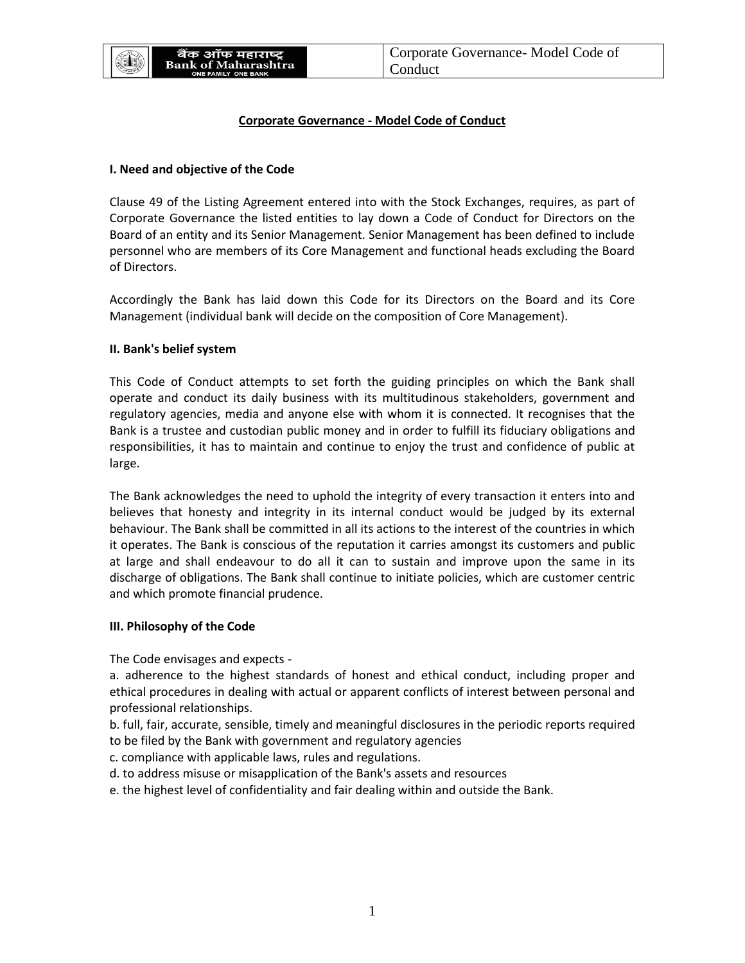# **Corporate Governance - Model Code of Conduct**

## **I. Need and objective of the Code**

Clause 49 of the Listing Agreement entered into with the Stock Exchanges, requires, as part of Corporate Governance the listed entities to lay down a Code of Conduct for Directors on the Board of an entity and its Senior Management. Senior Management has been defined to include personnel who are members of its Core Management and functional heads excluding the Board of Directors.

Accordingly the Bank has laid down this Code for its Directors on the Board and its Core Management (individual bank will decide on the composition of Core Management).

### **II. Bank's belief system**

This Code of Conduct attempts to set forth the guiding principles on which the Bank shall operate and conduct its daily business with its multitudinous stakeholders, government and regulatory agencies, media and anyone else with whom it is connected. It recognises that the Bank is a trustee and custodian public money and in order to fulfill its fiduciary obligations and responsibilities, it has to maintain and continue to enjoy the trust and confidence of public at large.

The Bank acknowledges the need to uphold the integrity of every transaction it enters into and believes that honesty and integrity in its internal conduct would be judged by its external behaviour. The Bank shall be committed in all its actions to the interest of the countries in which it operates. The Bank is conscious of the reputation it carries amongst its customers and public at large and shall endeavour to do all it can to sustain and improve upon the same in its discharge of obligations. The Bank shall continue to initiate policies, which are customer centric and which promote financial prudence.

#### **III. Philosophy of the Code**

The Code envisages and expects -

a. adherence to the highest standards of honest and ethical conduct, including proper and ethical procedures in dealing with actual or apparent conflicts of interest between personal and professional relationships.

b. full, fair, accurate, sensible, timely and meaningful disclosures in the periodic reports required to be filed by the Bank with government and regulatory agencies

c. compliance with applicable laws, rules and regulations.

d. to address misuse or misapplication of the Bank's assets and resources

e. the highest level of confidentiality and fair dealing within and outside the Bank.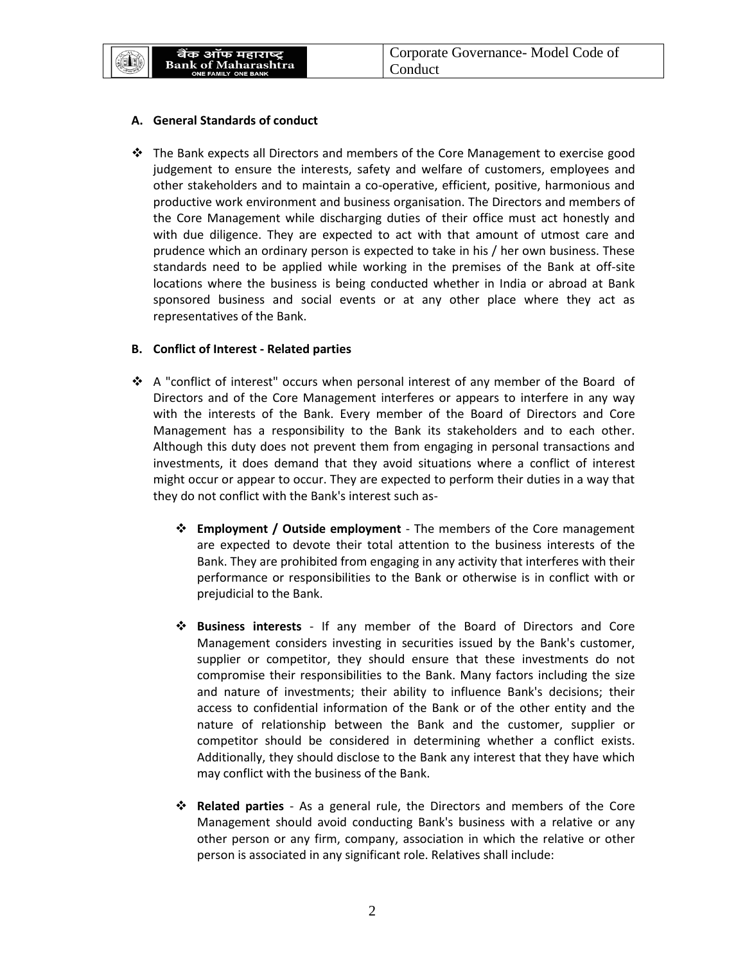(IN

### **A. General Standards of conduct**

 $\div$  The Bank expects all Directors and members of the Core Management to exercise good judgement to ensure the interests, safety and welfare of customers, employees and other stakeholders and to maintain a co-operative, efficient, positive, harmonious and productive work environment and business organisation. The Directors and members of the Core Management while discharging duties of their office must act honestly and with due diligence. They are expected to act with that amount of utmost care and prudence which an ordinary person is expected to take in his / her own business. These standards need to be applied while working in the premises of the Bank at off-site locations where the business is being conducted whether in India or abroad at Bank sponsored business and social events or at any other place where they act as representatives of the Bank.

### **B. Conflict of Interest - Related parties**

- $\div$  A "conflict of interest" occurs when personal interest of any member of the Board of Directors and of the Core Management interferes or appears to interfere in any way with the interests of the Bank. Every member of the Board of Directors and Core Management has a responsibility to the Bank its stakeholders and to each other. Although this duty does not prevent them from engaging in personal transactions and investments, it does demand that they avoid situations where a conflict of interest might occur or appear to occur. They are expected to perform their duties in a way that they do not conflict with the Bank's interest such as-
	- **Employment / Outside employment**  The members of the Core management are expected to devote their total attention to the business interests of the Bank. They are prohibited from engaging in any activity that interferes with their performance or responsibilities to the Bank or otherwise is in conflict with or prejudicial to the Bank.
	- **Business interests**  If any member of the Board of Directors and Core Management considers investing in securities issued by the Bank's customer, supplier or competitor, they should ensure that these investments do not compromise their responsibilities to the Bank. Many factors including the size and nature of investments; their ability to influence Bank's decisions; their access to confidential information of the Bank or of the other entity and the nature of relationship between the Bank and the customer, supplier or competitor should be considered in determining whether a conflict exists. Additionally, they should disclose to the Bank any interest that they have which may conflict with the business of the Bank.
	- **Related parties**  As a general rule, the Directors and members of the Core Management should avoid conducting Bank's business with a relative or any other person or any firm, company, association in which the relative or other person is associated in any significant role. Relatives shall include: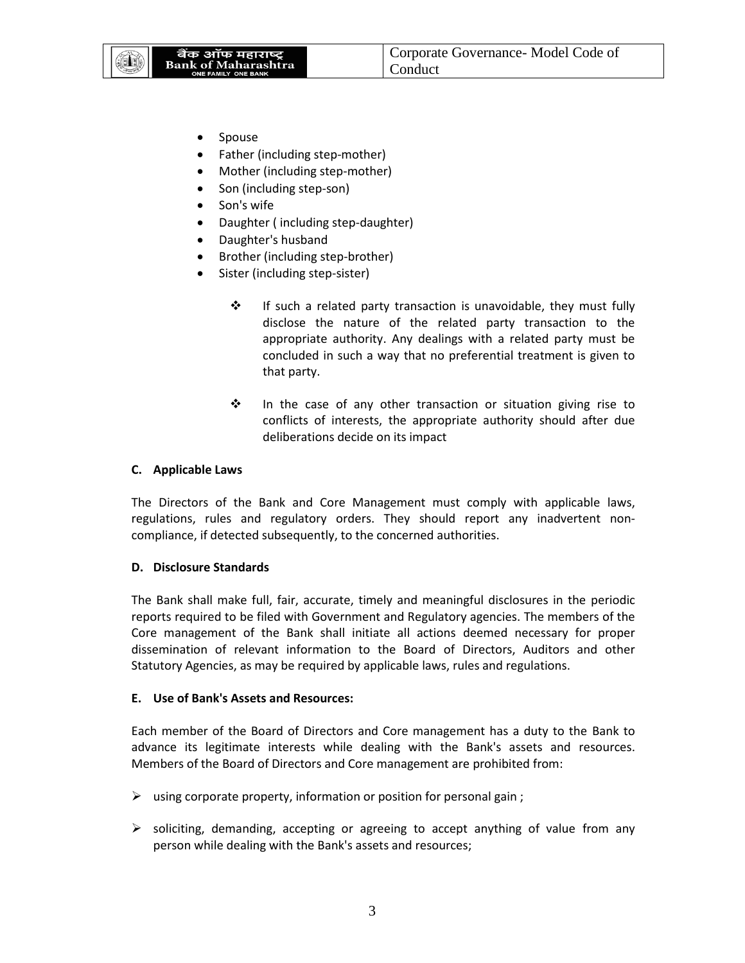

- Spouse
- Father (including step-mother)
- Mother (including step-mother)
- Son (including step-son)
- Son's wife
- Daughter ( including step-daughter)
- Daughter's husband
- Brother (including step-brother)
- Sister (including step-sister)
	- $\mathbf{\hat{P}}$  If such a related party transaction is unavoidable, they must fully disclose the nature of the related party transaction to the appropriate authority. Any dealings with a related party must be concluded in such a way that no preferential treatment is given to that party.
	- $\cdot \cdot$  In the case of any other transaction or situation giving rise to conflicts of interests, the appropriate authority should after due deliberations decide on its impact

### **C. Applicable Laws**

The Directors of the Bank and Core Management must comply with applicable laws, regulations, rules and regulatory orders. They should report any inadvertent noncompliance, if detected subsequently, to the concerned authorities.

#### **D. Disclosure Standards**

The Bank shall make full, fair, accurate, timely and meaningful disclosures in the periodic reports required to be filed with Government and Regulatory agencies. The members of the Core management of the Bank shall initiate all actions deemed necessary for proper dissemination of relevant information to the Board of Directors, Auditors and other Statutory Agencies, as may be required by applicable laws, rules and regulations.

#### **E. Use of Bank's Assets and Resources:**

Each member of the Board of Directors and Core management has a duty to the Bank to advance its legitimate interests while dealing with the Bank's assets and resources. Members of the Board of Directors and Core management are prohibited from:

- $\triangleright$  using corporate property, information or position for personal gain;
- $\triangleright$  soliciting, demanding, accepting or agreeing to accept anything of value from any person while dealing with the Bank's assets and resources;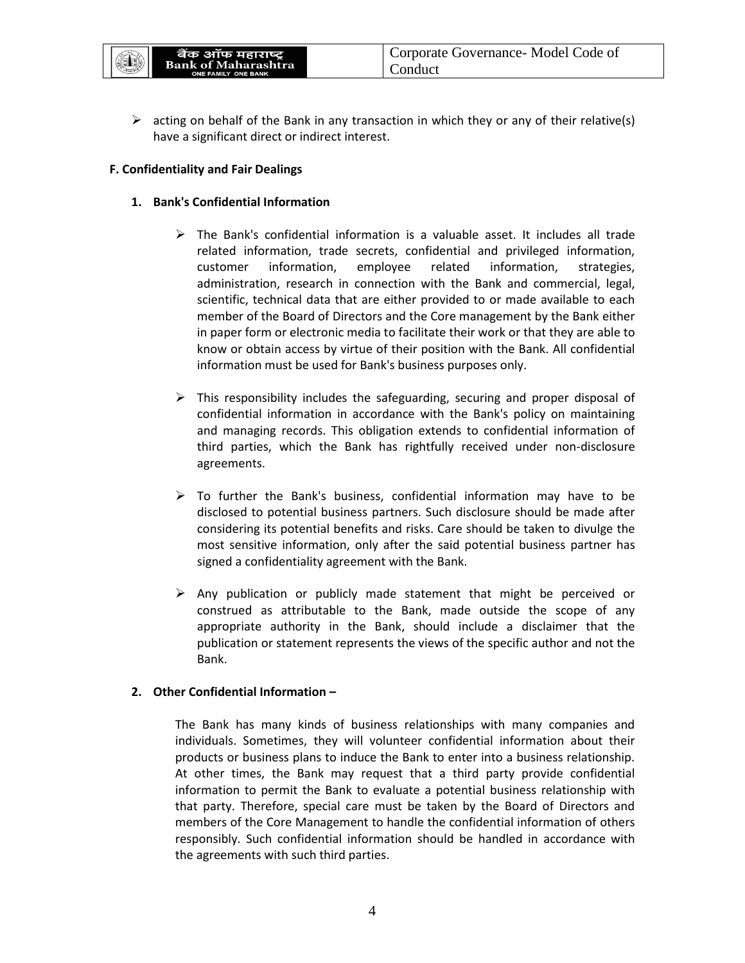(IN

 $\triangleright$  acting on behalf of the Bank in any transaction in which they or any of their relative(s) have a significant direct or indirect interest.

### **F. Confidentiality and Fair Dealings**

## **1. Bank's Confidential Information**

- $\triangleright$  The Bank's confidential information is a valuable asset. It includes all trade related information, trade secrets, confidential and privileged information, customer information, employee related information, strategies, administration, research in connection with the Bank and commercial, legal, scientific, technical data that are either provided to or made available to each member of the Board of Directors and the Core management by the Bank either in paper form or electronic media to facilitate their work or that they are able to know or obtain access by virtue of their position with the Bank. All confidential information must be used for Bank's business purposes only.
- $\triangleright$  This responsibility includes the safeguarding, securing and proper disposal of confidential information in accordance with the Bank's policy on maintaining and managing records. This obligation extends to confidential information of third parties, which the Bank has rightfully received under non-disclosure agreements.
- $\triangleright$  To further the Bank's business, confidential information may have to be disclosed to potential business partners. Such disclosure should be made after considering its potential benefits and risks. Care should be taken to divulge the most sensitive information, only after the said potential business partner has signed a confidentiality agreement with the Bank.
- $\triangleright$  Any publication or publicly made statement that might be perceived or construed as attributable to the Bank, made outside the scope of any appropriate authority in the Bank, should include a disclaimer that the publication or statement represents the views of the specific author and not the Bank.

# **2. Other Confidential Information –**

The Bank has many kinds of business relationships with many companies and individuals. Sometimes, they will volunteer confidential information about their products or business plans to induce the Bank to enter into a business relationship. At other times, the Bank may request that a third party provide confidential information to permit the Bank to evaluate a potential business relationship with that party. Therefore, special care must be taken by the Board of Directors and members of the Core Management to handle the confidential information of others responsibly. Such confidential information should be handled in accordance with the agreements with such third parties.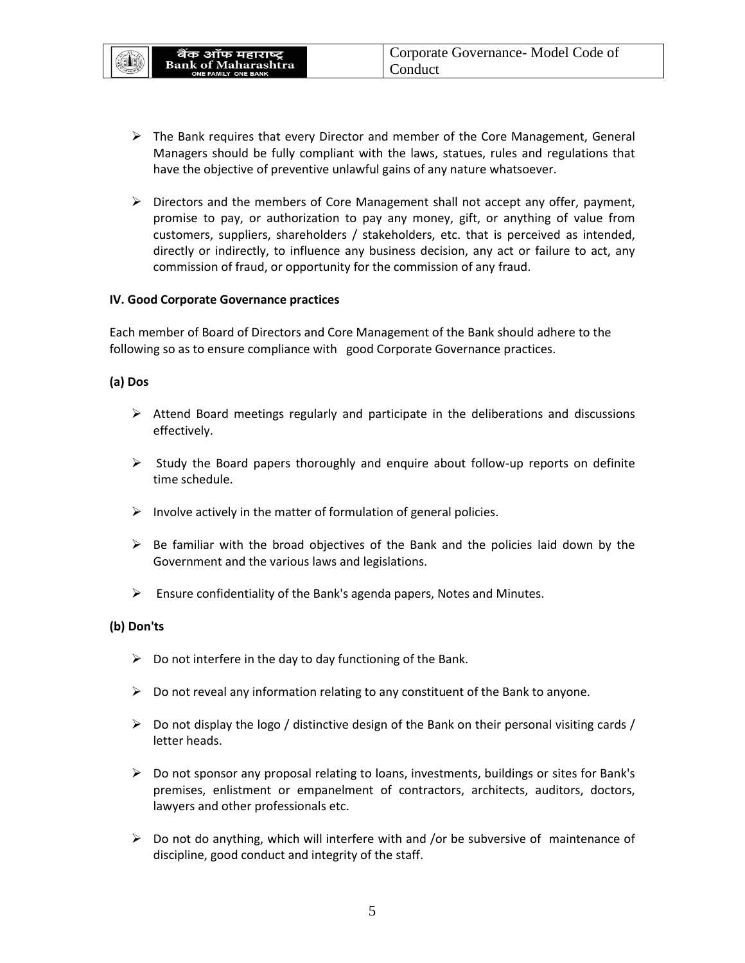- $\triangleright$  The Bank requires that every Director and member of the Core Management, General Managers should be fully compliant with the laws, statues, rules and regulations that have the objective of preventive unlawful gains of any nature whatsoever.
- $\triangleright$  Directors and the members of Core Management shall not accept any offer, payment, promise to pay, or authorization to pay any money, gift, or anything of value from customers, suppliers, shareholders / stakeholders, etc. that is perceived as intended, directly or indirectly, to influence any business decision, any act or failure to act, any commission of fraud, or opportunity for the commission of any fraud.

### **IV. Good Corporate Governance practices**

बैंक ऑफ महाराष्ट्र<br>Bank of Maharashtra

Each member of Board of Directors and Core Management of the Bank should adhere to the following so as to ensure compliance with good Corporate Governance practices.

### **(a) Dos**

通形

- $\triangleright$  Attend Board meetings regularly and participate in the deliberations and discussions effectively.
- $\triangleright$  Study the Board papers thoroughly and enquire about follow-up reports on definite time schedule.
- $\triangleright$  Involve actively in the matter of formulation of general policies.
- $\triangleright$  Be familiar with the broad objectives of the Bank and the policies laid down by the Government and the various laws and legislations.
- $\triangleright$  Ensure confidentiality of the Bank's agenda papers, Notes and Minutes.

#### **(b) Don'ts**

- $\triangleright$  Do not interfere in the day to day functioning of the Bank.
- $\triangleright$  Do not reveal any information relating to any constituent of the Bank to anyone.
- $\triangleright$  Do not display the logo / distinctive design of the Bank on their personal visiting cards / letter heads.
- $\triangleright$  Do not sponsor any proposal relating to loans, investments, buildings or sites for Bank's premises, enlistment or empanelment of contractors, architects, auditors, doctors, lawyers and other professionals etc.
- $\triangleright$  Do not do anything, which will interfere with and /or be subversive of maintenance of discipline, good conduct and integrity of the staff.